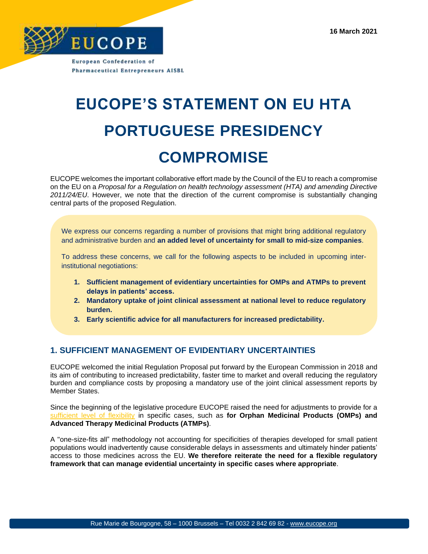

European Confederation of **Pharmaceutical Entrepreneurs AISBL** 

## **EUCOPE'S STATEMENT ON EU HTA PORTUGUESE PRESIDENCY COMPROMISE**

EUCOPE welcomes the important collaborative effort made by the Council of the EU to reach a compromise on the EU on a *Proposal for a Regulation on health technology assessment (HTA) and amending Directive 2011/24/EU*. However, we note that the direction of the current compromise is substantially changing central parts of the proposed Regulation.

We express our concerns regarding a number of provisions that might bring additional regulatory and administrative burden and **an added level of uncertainty for small to mid-size companies**.

To address these concerns, we call for the following aspects to be included in upcoming interinstitutional negotiations:

- **1. Sufficient management of evidentiary uncertainties for OMPs and ATMPs to prevent delays in patients' access.**
- **2. Mandatory uptake of joint clinical assessment at national level to reduce regulatory burden.**
- **3. Early scientific advice for all manufacturers for increased predictability.**

## **1. SUFFICIENT MANAGEMENT OF EVIDENTIARY UNCERTAINTIES**

EUCOPE welcomed [the initial Regulation Proposal](https://www.eucope.org/wp-content/uploads/2018/09/2018_06_06_EUCOPE-Position-Paper_EU-Cooperation-on-HTA.pdf) put forward by the European Commission in 2018 and its aim of contributing to increased predictability, faster time to market and overall reducing the regulatory burden and compliance costs by proposing a mandatory use of the joint clinical assessment reports by Member States.

Since the beginning of the legislative procedure EUCOPE raised the need for adjustments to provide for a [sufficient level of flexibility](https://www.eucope.org/wp-content/uploads/2018/09/2018_06_06_EUCOPE-Position-Paper_EU-Cooperation-on-HTA.pdfhttps:/www.eucope.org/wp-content/uploads/2018/09/2018_06_06_EUCOPE-Position-Paper_EU-Cooperation-on-HTA.pdf) in specific cases, such as **for Orphan Medicinal Products (OMPs) and Advanced Therapy Medicinal Products (ATMPs)**.

A "one-size-fits all" methodology not accounting for specificities of therapies developed for small patient populations would inadvertently cause considerable delays in assessments and ultimately hinder patients' access to those medicines across the EU. **We therefore reiterate the need for a flexible regulatory framework that can manage evidential uncertainty in specific cases where appropriate**.